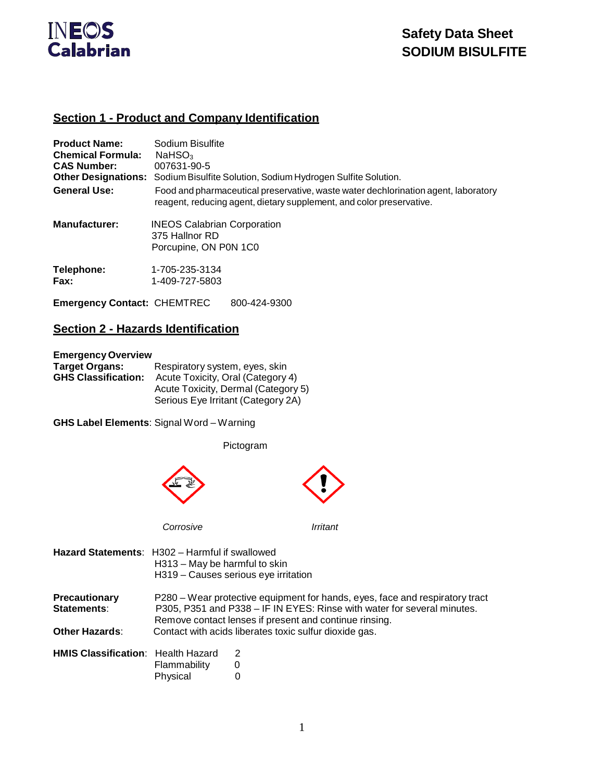

## **Section 1 - Product and Company Identification**

| <b>Product Name:</b><br><b>Chemical Formula:</b><br><b>CAS Number:</b> | Sodium Bisulfite<br>$N$ aHSO <sub>3</sub><br>007631-90-5<br>Other Designations: Sodium Bisulfite Solution, Sodium Hydrogen Sulfite Solution.               |
|------------------------------------------------------------------------|------------------------------------------------------------------------------------------------------------------------------------------------------------|
| <b>General Use:</b>                                                    | Food and pharmaceutical preservative, waste water dechlorination agent, laboratory<br>reagent, reducing agent, dietary supplement, and color preservative. |
| Manufacturer:                                                          | <b>INEOS Calabrian Corporation</b><br>375 Hallnor RD<br>Porcupine, ON P0N 1C0                                                                              |
| Telephone:<br>Fax:                                                     | 1-705-235-3134<br>1-409-727-5803                                                                                                                           |
| <b>Emergency Contact: CHEMTREC</b>                                     | 800-424-9300                                                                                                                                               |

## **Section 2 - Hazards Identification**

#### **EmergencyOverview**

| <b>Target Organs:</b>      | Respiratory system, eyes, skin      |
|----------------------------|-------------------------------------|
| <b>GHS Classification:</b> | Acute Toxicity, Oral (Category 4)   |
|                            | Acute Toxicity, Dermal (Category 5) |
|                            | Serious Eye Irritant (Category 2A)  |

**GHS Label Elements**: Signal Word – Warning

Pictogram



| <b>Hazard Statements:</b> H302 – Harmful if swallowed | H313 - May be harmful to skin | H319 - Causes serious eye irritation                                                                                                                                                                              |
|-------------------------------------------------------|-------------------------------|-------------------------------------------------------------------------------------------------------------------------------------------------------------------------------------------------------------------|
| <b>Precautionary</b><br>Statements:                   |                               | P280 – Wear protective equipment for hands, eyes, face and respiratory tract<br>P305, P351 and P338 - IF IN EYES: Rinse with water for several minutes.<br>Remove contact lenses if present and continue rinsing. |
| <b>Other Hazards:</b>                                 |                               | Contact with acids liberates toxic sulfur dioxide gas.                                                                                                                                                            |
| <b>HMIS Classification:</b> Health Hazard             | Flammability<br>Physical      | 2<br>O                                                                                                                                                                                                            |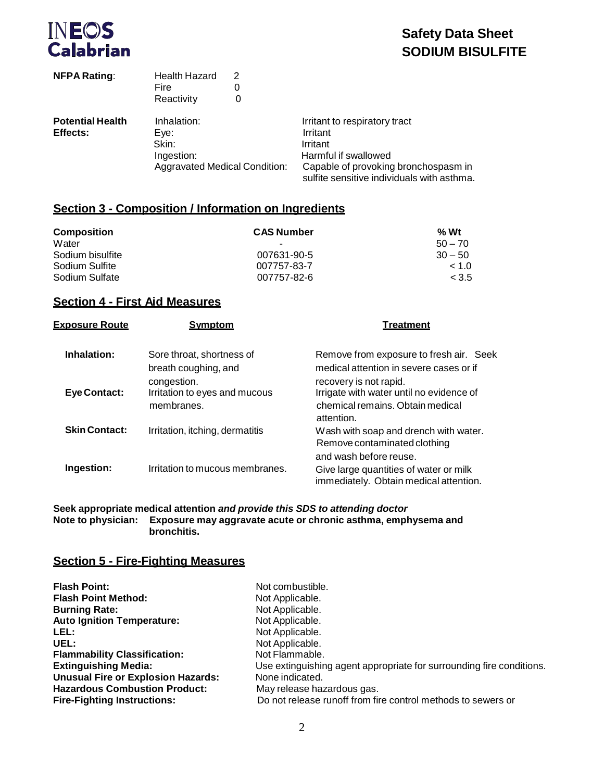

| <b>NFPA Rating:</b>     | <b>Health Hazard</b><br>Fire<br>Reactivity | 2<br>0<br>0 |                                                                                    |
|-------------------------|--------------------------------------------|-------------|------------------------------------------------------------------------------------|
| <b>Potential Health</b> | Inhalation:                                |             | Irritant to respiratory tract                                                      |
| Effects:                | Eve:                                       |             | Irritant                                                                           |
|                         | Skin:                                      |             | Irritant                                                                           |
|                         | Ingestion:                                 |             | Harmful if swallowed                                                               |
|                         | <b>Aggravated Medical Condition:</b>       |             | Capable of provoking bronchospasm in<br>sulfite sensitive individuals with asthma. |

### **Section 3 - Composition / Information on Ingredients**

| <b>Composition</b> | <b>CAS Number</b> | $%$ Wt    |
|--------------------|-------------------|-----------|
| Water              | ٠                 | $50 - 70$ |
| Sodium bisulfite   | 007631-90-5       | $30 - 50$ |
| Sodium Sulfite     | 007757-83-7       | ~1.0      |
| Sodium Sulfate     | 007757-82-6       | < 3.5     |

## **Section 4 - First Aid Measures**

| <u>Exposure Route</u> | <b>Symptom</b>                                             | <b>Treatment</b>                                                                                                     |
|-----------------------|------------------------------------------------------------|----------------------------------------------------------------------------------------------------------------------|
| Inhalation:           | Sore throat, shortness of<br>breath coughing, and          | Remove from exposure to fresh air. Seek<br>medical attention in severe cases or if                                   |
| Eye Contact:          | congestion.<br>Irritation to eyes and mucous<br>membranes. | recovery is not rapid.<br>Irrigate with water until no evidence of<br>chemical remains. Obtain medical<br>attention. |
| <b>Skin Contact:</b>  | Irritation, itching, dermatitis                            | Wash with soap and drench with water.<br>Remove contaminated clothing<br>and wash before reuse.                      |
| Ingestion:            | Irritation to mucous membranes.                            | Give large quantities of water or milk<br>immediately. Obtain medical attention.                                     |

**Seek appropriate medical attention** *and provide this SDS to attending doctor* **Note to physician: Exposure may aggravate acute or chronic asthma, emphysema and bronchitis.**

## **Section 5 - Fire-Fighting Measures**

| <b>Flash Point:</b>                       | Not combustible.                                                     |
|-------------------------------------------|----------------------------------------------------------------------|
| <b>Flash Point Method:</b>                | Not Applicable.                                                      |
| <b>Burning Rate:</b>                      | Not Applicable.                                                      |
| <b>Auto Ignition Temperature:</b>         | Not Applicable.                                                      |
| LEL:                                      | Not Applicable.                                                      |
| UEL:                                      | Not Applicable.                                                      |
| <b>Flammability Classification:</b>       | Not Flammable.                                                       |
| <b>Extinguishing Media:</b>               | Use extinguishing agent appropriate for surrounding fire conditions. |
| <b>Unusual Fire or Explosion Hazards:</b> | None indicated.                                                      |
| <b>Hazardous Combustion Product:</b>      | May release hazardous gas.                                           |
| <b>Fire-Fighting Instructions:</b>        | Do not release runoff from fire control methods to sewers or         |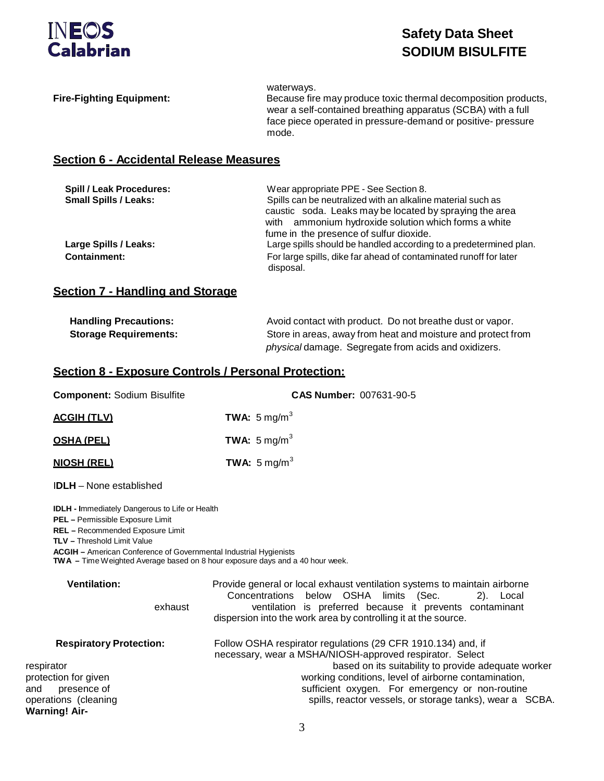

| <b>Fire-Fighting Equipment:</b>                                                                                                                                                                                                                                                                                                                | waterways.<br>Because fire may produce toxic thermal decomposition products,<br>wear a self-contained breathing apparatus (SCBA) with a full<br>face piece operated in pressure-demand or positive- pressure<br>mode.                                                                                                                                  |
|------------------------------------------------------------------------------------------------------------------------------------------------------------------------------------------------------------------------------------------------------------------------------------------------------------------------------------------------|--------------------------------------------------------------------------------------------------------------------------------------------------------------------------------------------------------------------------------------------------------------------------------------------------------------------------------------------------------|
| <b>Section 6 - Accidental Release Measures</b>                                                                                                                                                                                                                                                                                                 |                                                                                                                                                                                                                                                                                                                                                        |
| Spill / Leak Procedures:<br><b>Small Spills / Leaks:</b>                                                                                                                                                                                                                                                                                       | Wear appropriate PPE - See Section 8.<br>Spills can be neutralized with an alkaline material such as<br>caustic soda. Leaks may be located by spraying the area<br>with ammonium hydroxide solution which forms a white<br>fume in the presence of sulfur dioxide.                                                                                     |
| Large Spills / Leaks:<br><b>Containment:</b>                                                                                                                                                                                                                                                                                                   | Large spills should be handled according to a predetermined plan.<br>For large spills, dike far ahead of contaminated runoff for later<br>disposal.                                                                                                                                                                                                    |
| <b>Section 7 - Handling and Storage</b>                                                                                                                                                                                                                                                                                                        |                                                                                                                                                                                                                                                                                                                                                        |
| <b>Handling Precautions:</b><br><b>Storage Requirements:</b>                                                                                                                                                                                                                                                                                   | Avoid contact with product. Do not breathe dust or vapor.<br>Store in areas, away from heat and moisture and protect from<br>physical damage. Segregate from acids and oxidizers.                                                                                                                                                                      |
| <b>Section 8 - Exposure Controls / Personal Protection:</b>                                                                                                                                                                                                                                                                                    |                                                                                                                                                                                                                                                                                                                                                        |
| <b>Component: Sodium Bisulfite</b>                                                                                                                                                                                                                                                                                                             | CAS Number: 007631-90-5                                                                                                                                                                                                                                                                                                                                |
| <b>ACGIH (TLV)</b>                                                                                                                                                                                                                                                                                                                             | TWA: $5 \text{ mg/m}^3$                                                                                                                                                                                                                                                                                                                                |
| <b>OSHA (PEL)</b>                                                                                                                                                                                                                                                                                                                              | TWA: $5 \text{ mg/m}^3$                                                                                                                                                                                                                                                                                                                                |
| <b>NIOSH (REL)</b>                                                                                                                                                                                                                                                                                                                             | TWA: $5 \text{ mg/m}^3$                                                                                                                                                                                                                                                                                                                                |
| <b>IDLH</b> – None established                                                                                                                                                                                                                                                                                                                 |                                                                                                                                                                                                                                                                                                                                                        |
| <b>IDLH - Immediately Dangerous to Life or Health</b><br>PEL - Permissible Exposure Limit<br><b>REL</b> - Recommended Exposure Limit<br><b>TLV - Threshold Limit Value</b><br><b>ACGIH</b> - American Conference of Governmental Industrial Hygienists<br><b>TWA</b> - Time Weighted Average based on 8 hour exposure days and a 40 hour week. |                                                                                                                                                                                                                                                                                                                                                        |
| <b>Ventilation:</b><br>exhaust                                                                                                                                                                                                                                                                                                                 | Provide general or local exhaust ventilation systems to maintain airborne<br>below OSHA limits (Sec.<br>Concentrations<br>2). Local<br>ventilation is preferred because it prevents contaminant<br>dispersion into the work area by controlling it at the source.                                                                                      |
| <b>Respiratory Protection:</b><br>respirator<br>protection for given<br>presence of<br>operations (cleaning<br><b>Warning! Air-</b>                                                                                                                                                                                                            | Follow OSHA respirator regulations (29 CFR 1910.134) and, if<br>necessary, wear a MSHA/NIOSH-approved respirator. Select<br>based on its suitability to provide adequate worker<br>working conditions, level of airborne contamination,<br>sufficient oxygen. For emergency or non-routine<br>spills, reactor vessels, or storage tanks), wear a SCBA. |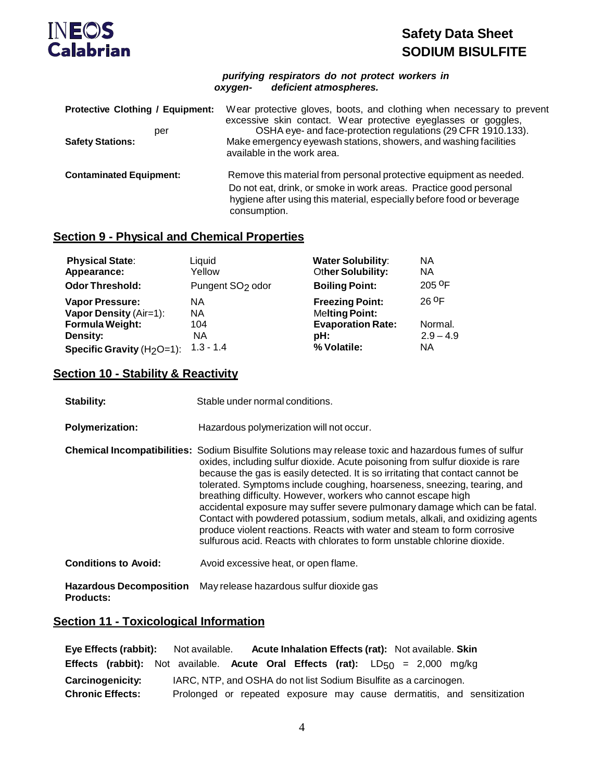

|         | purifying respirators do not protect workers in |  |
|---------|-------------------------------------------------|--|
| oxygen- | deficient atmospheres.                          |  |

| <b>Protective Clothing / Equipment:</b><br>per<br><b>Safety Stations:</b> | Wear protective gloves, boots, and clothing when necessary to prevent<br>excessive skin contact. Wear protective eyeglasses or goggles,<br>OSHA eye- and face-protection regulations (29 CFR 1910.133).<br>Make emergency eyewash stations, showers, and washing facilities<br>available in the work area. |
|---------------------------------------------------------------------------|------------------------------------------------------------------------------------------------------------------------------------------------------------------------------------------------------------------------------------------------------------------------------------------------------------|
| <b>Contaminated Equipment:</b>                                            | Remove this material from personal protective equipment as needed.<br>Do not eat, drink, or smoke in work areas. Practice good personal<br>hygiene after using this material, especially before food or beverage<br>consumption.                                                                           |

## **Section 9 - Physical and Chemical Properties**

| <b>Physical State:</b>                 | Liquid                       | <b>Water Solubility:</b> | <b>NA</b>           |
|----------------------------------------|------------------------------|--------------------------|---------------------|
| Appearance:                            | Yellow                       | Other Solubility:        | ΝA                  |
| <b>Odor Threshold:</b>                 | Pungent SO <sub>2</sub> odor | <b>Boiling Point:</b>    | $205$ <sup>OF</sup> |
| <b>Vapor Pressure:</b>                 | NA.                          | <b>Freezing Point:</b>   | 26 OF               |
| Vapor Density (Air=1):                 | <b>NA</b>                    | <b>Melting Point:</b>    |                     |
| <b>Formula Weight:</b>                 | 104                          | <b>Evaporation Rate:</b> | Normal.             |
| Density:                               | NA.                          | pH:                      | $2.9 - 4.9$         |
| Specific Gravity (H <sub>2</sub> O=1): | $1.3 - 1.4$                  | % Volatile:              | <b>NA</b>           |

## **Section 10 - Stability & Reactivity**

| Stability:                                         | Stable under normal conditions.                                                                                                                                                                                                                                                                                                                                                                                                                                                                                                                                                                                                                                                                                                                     |
|----------------------------------------------------|-----------------------------------------------------------------------------------------------------------------------------------------------------------------------------------------------------------------------------------------------------------------------------------------------------------------------------------------------------------------------------------------------------------------------------------------------------------------------------------------------------------------------------------------------------------------------------------------------------------------------------------------------------------------------------------------------------------------------------------------------------|
| <b>Polymerization:</b>                             | Hazardous polymerization will not occur.                                                                                                                                                                                                                                                                                                                                                                                                                                                                                                                                                                                                                                                                                                            |
|                                                    | <b>Chemical Incompatibilities:</b> Sodium Bisulfite Solutions may release toxic and hazardous fumes of sulfur<br>oxides, including sulfur dioxide. Acute poisoning from sulfur dioxide is rare<br>because the gas is easily detected. It is so irritating that contact cannot be<br>tolerated. Symptoms include coughing, hoarseness, sneezing, tearing, and<br>breathing difficulty. However, workers who cannot escape high<br>accidental exposure may suffer severe pulmonary damage which can be fatal.<br>Contact with powdered potassium, sodium metals, alkali, and oxidizing agents<br>produce violent reactions. Reacts with water and steam to form corrosive<br>sulfurous acid. Reacts with chlorates to form unstable chlorine dioxide. |
| <b>Conditions to Avoid:</b>                        | Avoid excessive heat, or open flame.                                                                                                                                                                                                                                                                                                                                                                                                                                                                                                                                                                                                                                                                                                                |
| <b>Hazardous Decomposition</b><br><b>Products:</b> | May release hazardous sulfur dioxide gas                                                                                                                                                                                                                                                                                                                                                                                                                                                                                                                                                                                                                                                                                                            |

## **Section 11 - Toxicological Information**

|                                                                                              |  |  | Eye Effects (rabbit): Not available. Acute Inhalation Effects (rat): Not available. Skin  |  |  |  |  |  |  |  |                                                                        |
|----------------------------------------------------------------------------------------------|--|--|-------------------------------------------------------------------------------------------|--|--|--|--|--|--|--|------------------------------------------------------------------------|
|                                                                                              |  |  | <b>Effects (rabbit):</b> Not available. Acute Oral Effects (rat): $LD_{50} = 2,000$ mg/kg |  |  |  |  |  |  |  |                                                                        |
| IARC, NTP, and OSHA do not list Sodium Bisulfite as a carcinogen.<br><b>Carcinogenicity:</b> |  |  |                                                                                           |  |  |  |  |  |  |  |                                                                        |
| <b>Chronic Effects:</b>                                                                      |  |  |                                                                                           |  |  |  |  |  |  |  | Prolonged or repeated exposure may cause dermatitis, and sensitization |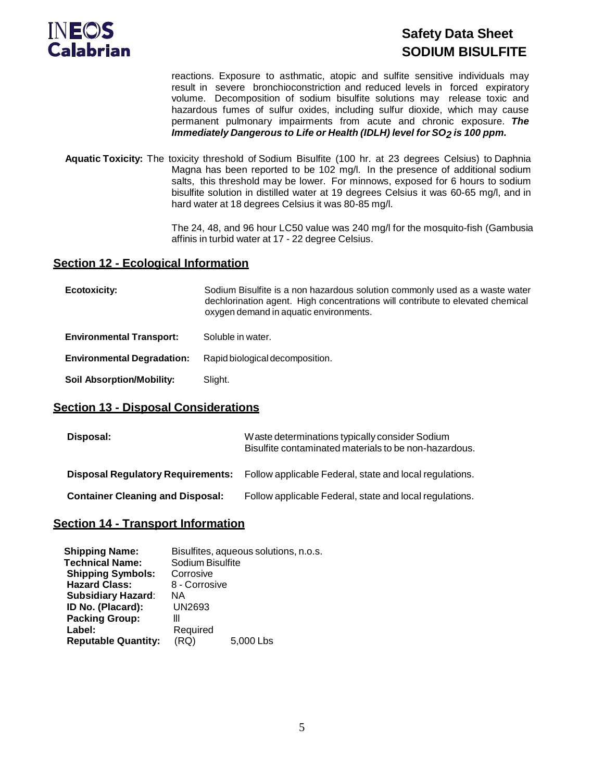

reactions. Exposure to asthmatic, atopic and sulfite sensitive individuals may result in severe bronchioconstriction and reduced levels in forced expiratory volume. Decomposition of sodium bisulfite solutions may release toxic and hazardous fumes of sulfur oxides, including sulfur dioxide, which may cause permanent pulmonary impairments from acute and chronic exposure. *The Immediately Dangerous to Life or Health (IDLH) level for SO2 is 100 ppm.*

**Aquatic Toxicity:** The toxicity threshold of Sodium Bisulfite (100 hr. at 23 degrees Celsius) to Daphnia Magna has been reported to be 102 mg/l. In the presence of additional sodium salts, this threshold may be lower. For minnows, exposed for 6 hours to sodium bisulfite solution in distilled water at 19 degrees Celsius it was 60-65 mg/l, and in hard water at 18 degrees Celsius it was 80-85 mg/l.

> The 24, 48, and 96 hour LC50 value was 240 mg/l for the mosquito-fish (Gambusia affinis in turbid water at 17 - 22 degree Celsius.

#### **Section 12 - Ecological Information**

| Ecotoxicity:                      | Sodium Bisulfite is a non hazardous solution commonly used as a waste water<br>dechlorination agent. High concentrations will contribute to elevated chemical<br>oxygen demand in aquatic environments. |
|-----------------------------------|---------------------------------------------------------------------------------------------------------------------------------------------------------------------------------------------------------|
| <b>Environmental Transport:</b>   | Soluble in water.                                                                                                                                                                                       |
| <b>Environmental Degradation:</b> | Rapid biological decomposition.                                                                                                                                                                         |
| <b>Soil Absorption/Mobility:</b>  | Slight.                                                                                                                                                                                                 |

#### **Section 13 - Disposal Considerations**

| Disposal:                                | Waste determinations typically consider Sodium<br>Bisulfite contaminated materials to be non-hazardous. |  |  |  |  |
|------------------------------------------|---------------------------------------------------------------------------------------------------------|--|--|--|--|
| <b>Disposal Regulatory Requirements:</b> | Follow applicable Federal, state and local regulations.                                                 |  |  |  |  |
| <b>Container Cleaning and Disposal:</b>  | Follow applicable Federal, state and local regulations.                                                 |  |  |  |  |

#### **Section 14 - Transport Information**

|           | Bisulfites, aqueous solutions, n.o.s. |
|-----------|---------------------------------------|
|           |                                       |
| Corrosive |                                       |
|           |                                       |
| ΝA        |                                       |
| UN2693    |                                       |
| Ш         |                                       |
| Required  |                                       |
| (RQ)      | 5,000 Lbs                             |
|           | Sodium Bisulfite<br>8 - Corrosive     |